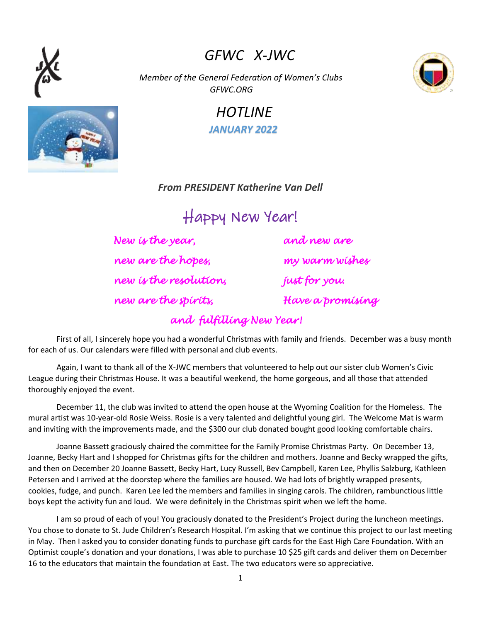# *GFWC X-JWC*

 *Member of the General Federation of Women's Clubs GFWC.ORG*

## *HOTLINE JANUARY 2022*

### *From PRESIDENT Katherine Van Dell*

Happy New Year!

*New is the year, and new are new are the hopes, my warm wishes new is the resolution, just for you. new are the spirits, Have a promising* 

First of all, I sincerely hope you had a wonderful Christmas with family and friends. December was a busy month for each of us. Our calendars were filled with personal and club events.

*and fulfilling New Year!* 

Again, I want to thank all of the X-JWC members that volunteered to help out our sister club Women's Civic League during their Christmas House. It was a beautiful weekend, the home gorgeous, and all those that attended thoroughly enjoyed the event.

December 11, the club was invited to attend the open house at the Wyoming Coalition for the Homeless. The mural artist was 10-year-old Rosie Weiss. Rosie is a very talented and delightful young girl. The Welcome Mat is warm and inviting with the improvements made, and the \$300 our club donated bought good looking comfortable chairs.

Joanne Bassett graciously chaired the committee for the Family Promise Christmas Party. On December 13, Joanne, Becky Hart and I shopped for Christmas gifts for the children and mothers. Joanne and Becky wrapped the gifts, and then on December 20 Joanne Bassett, Becky Hart, Lucy Russell, Bev Campbell, Karen Lee, Phyllis Salzburg, Kathleen Petersen and I arrived at the doorstep where the families are housed. We had lots of brightly wrapped presents, cookies, fudge, and punch. Karen Lee led the members and families in singing carols. The children, rambunctious little boys kept the activity fun and loud. We were definitely in the Christmas spirit when we left the home.

I am so proud of each of you! You graciously donated to the President's Project during the luncheon meetings. You chose to donate to St. Jude Children's Research Hospital. I'm asking that we continue this project to our last meeting in May. Then I asked you to consider donating funds to purchase gift cards for the East High Care Foundation. With an Optimist couple's donation and your donations, I was able to purchase 10 \$25 gift cards and deliver them on December 16 to the educators that maintain the foundation at East. The two educators were so appreciative.



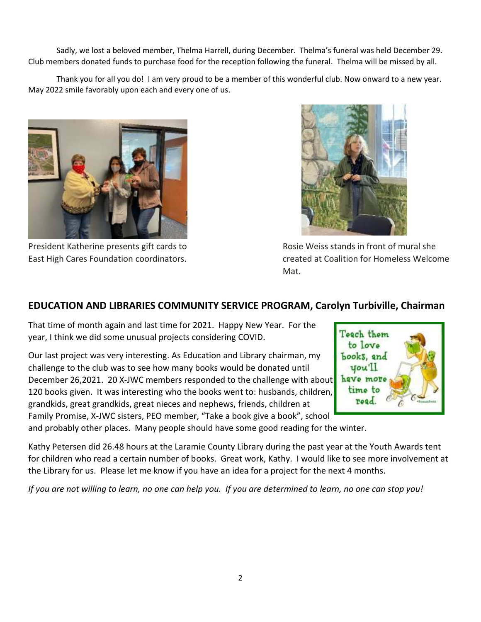Sadly, we lost a beloved member, Thelma Harrell, during December. Thelma's funeral was held December 29. Club members donated funds to purchase food for the reception following the funeral. Thelma will be missed by all.

Thank you for all you do! I am very proud to be a member of this wonderful club. Now onward to a new year. May 2022 smile favorably upon each and every one of us.





President Katherine presents gift cards to Rosie Weiss stands in front of mural she East High Cares Foundation coordinators. created at Coalition for Homeless Welcome Mat.

### **EDUCATION AND LIBRARIES COMMUNITY SERVICE PROGRAM, Carolyn Turbiville, Chairman**

That time of month again and last time for 2021. Happy New Year. For the year, I think we did some unusual projects considering COVID.

Our last project was very interesting. As Education and Library chairman, my challenge to the club was to see how many books would be donated until December 26,2021. 20 X-JWC members responded to the challenge with about 120 books given. It was interesting who the books went to: husbands, children, grandkids, great grandkids, great nieces and nephews, friends, children at Family Promise, X-JWC sisters, PEO member, "Take a book give a book", school



and probably other places. Many people should have some good reading for the winter.

Kathy Petersen did 26.48 hours at the Laramie County Library during the past year at the Youth Awards tent for children who read a certain number of books. Great work, Kathy. I would like to see more involvement at the Library for us. Please let me know if you have an idea for a project for the next 4 months.

*If you are not willing to learn, no one can help you. If you are determined to learn, no one can stop you!*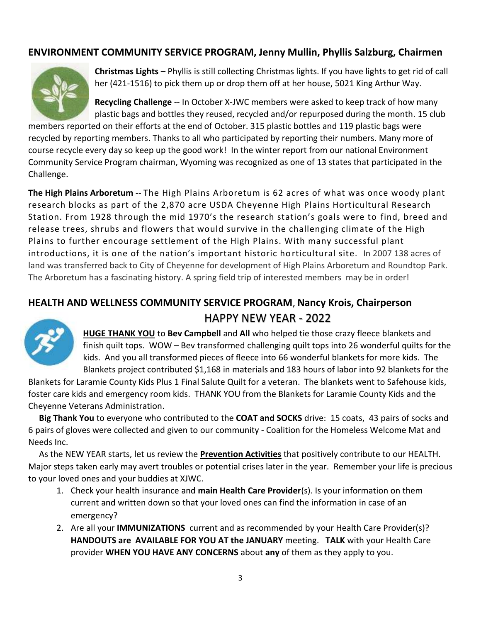#### **ENVIRONMENT COMMUNITY SERVICE PROGRAM, Jenny Mullin, Phyllis Salzburg, Chairmen**



**Christmas Lights** – Phyllis is still collecting Christmas lights. If you have lights to get rid of call her (421-1516) to pick them up or drop them off at her house, 5021 King Arthur Way.

**Recycling Challenge** -- In October X-JWC members were asked to keep track of how many plastic bags and bottles they reused, recycled and/or repurposed during the month. 15 club

members reported on their efforts at the end of October. 315 plastic bottles and 119 plastic bags were recycled by reporting members. Thanks to all who participated by reporting their numbers. Many more of course recycle every day so keep up the good work! In the winter report from our national Environment Community Service Program chairman, Wyoming was recognized as one of 13 states that participated in the Challenge.

**The High Plains Arboretum** -- The High Plains Arboretum is 62 acres of what was once woody plant research blocks as part of the 2,870 acre USDA Cheyenne High Plains Horticultural Research Station. From 1928 through the mid 1970's the research station's goals were to find, breed and release trees, shrubs and flowers that would survive in the challenging climate of the High Plains to further encourage settlement of the High Plains. With many successful plant introductions, it is one of the nation's important historic horticultural site. In 2007 138 acres of land was transferred back to City of Cheyenne for development of High Plains Arboretum and Roundtop Park. The Arboretum has a fascinating history. A spring field trip of interested members may be in order!

### **HEALTH AND WELLNESS COMMUNITY SERVICE PROGRAM**, **Nancy Krois, Chairperson** HAPPY NEW YEAR - 2022



**HUGE THANK YOU** to **Bev Campbell** and **All** who helped tie those crazy fleece blankets and finish quilt tops. WOW – Bev transformed challenging quilt tops into 26 wonderful quilts for the kids. And you all transformed pieces of fleece into 66 wonderful blankets for more kids. The Blankets project contributed \$1,168 in materials and 183 hours of labor into 92 blankets for the

Blankets for Laramie County Kids Plus 1 Final Salute Quilt for a veteran. The blankets went to Safehouse kids, foster care kids and emergency room kids. THANK YOU from the Blankets for Laramie County Kids and the Cheyenne Veterans Administration.

 **Big Thank You** to everyone who contributed to the **COAT and SOCKS** drive: 15 coats, 43 pairs of socks and 6 pairs of gloves were collected and given to our community - Coalition for the Homeless Welcome Mat and Needs Inc.

 As the NEW YEAR starts, let us review the **Prevention Activities** that positively contribute to our HEALTH. Major steps taken early may avert troubles or potential crises later in the year. Remember your life is precious to your loved ones and your buddies at XJWC.

- 1. Check your health insurance and **main Health Care Provider**(s). Is your information on them current and written down so that your loved ones can find the information in case of an emergency?
- 2. Are all your **IMMUNIZATIONS** current and as recommended by your Health Care Provider(s)? **HANDOUTS are AVAILABLE FOR YOU AT the JANUARY** meeting. **TALK** with your Health Care provider **WHEN YOU HAVE ANY CONCERNS** about **any** of them as they apply to you.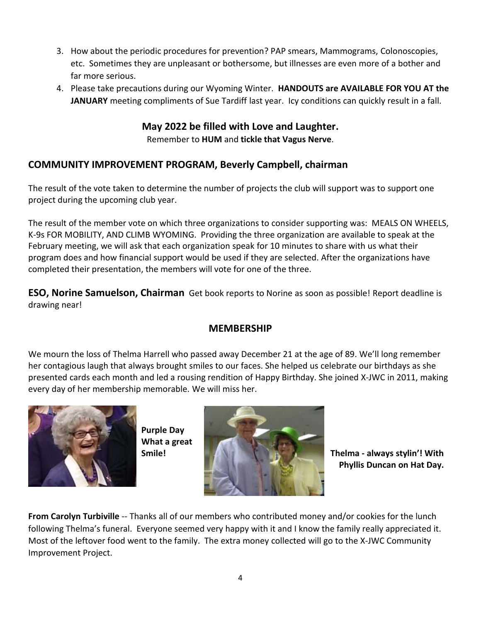- 3. How about the periodic procedures for prevention? PAP smears, Mammograms, Colonoscopies, etc. Sometimes they are unpleasant or bothersome, but illnesses are even more of a bother and far more serious.
- 4. Please take precautions during our Wyoming Winter. **HANDOUTS are AVAILABLE FOR YOU AT the JANUARY** meeting compliments of Sue Tardiff last year. Icy conditions can quickly result in a fall.

**May 2022 be filled with Love and Laughter.** Remember to **HUM** and **tickle that Vagus Nerve**.

#### **COMMUNITY IMPROVEMENT PROGRAM, Beverly Campbell, chairman**

The result of the vote taken to determine the number of projects the club will support was to support one project during the upcoming club year.

The result of the member vote on which three organizations to consider supporting was: MEALS ON WHEELS, K-9s FOR MOBILITY, AND CLIMB WYOMING. Providing the three organization are available to speak at the February meeting, we will ask that each organization speak for 10 minutes to share with us what their program does and how financial support would be used if they are selected. After the organizations have completed their presentation, the members will vote for one of the three.

**ESO, Norine Samuelson, Chairman** Get book reports to Norine as soon as possible! Report deadline is drawing near!

#### **MEMBERSHIP**

We mourn the loss of Thelma Harrell who passed away December 21 at the age of 89. We'll long remember her contagious laugh that always brought smiles to our faces. She helped us celebrate our birthdays as she presented cards each month and led a rousing rendition of Happy Birthday. She joined X-JWC in 2011, making every day of her membership memorable. We will miss her.



**Purple Day What a great**



 **Phyllis Duncan on Hat Day.**

**From Carolyn Turbiville** -- Thanks all of our members who contributed money and/or cookies for the lunch following Thelma's funeral. Everyone seemed very happy with it and I know the family really appreciated it. Most of the leftover food went to the family. The extra money collected will go to the X-JWC Community Improvement Project.